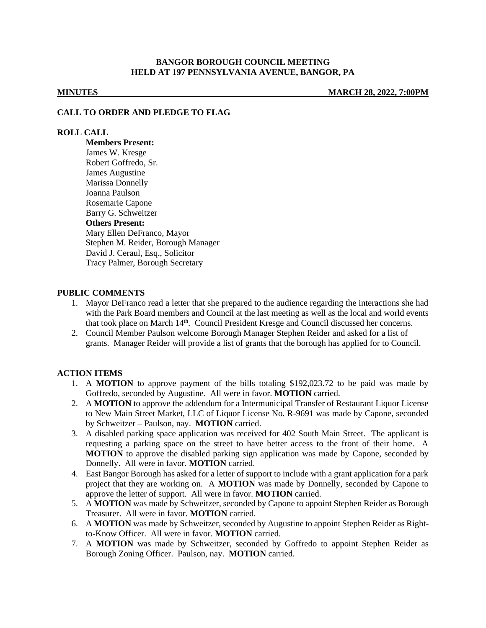## **BANGOR BOROUGH COUNCIL MEETING HELD AT 197 PENNSYLVANIA AVENUE, BANGOR, PA**

**MINUTES MARCH 28, 2022, 7:00PM**

#### **CALL TO ORDER AND PLEDGE TO FLAG**

## **ROLL CALL**

**Members Present:** James W. Kresge Robert Goffredo, Sr. James Augustine Marissa Donnelly Joanna Paulson Rosemarie Capone Barry G. Schweitzer **Others Present:** Mary Ellen DeFranco, Mayor Stephen M. Reider, Borough Manager David J. Ceraul, Esq., Solicitor Tracy Palmer, Borough Secretary

## **PUBLIC COMMENTS**

- 1. Mayor DeFranco read a letter that she prepared to the audience regarding the interactions she had with the Park Board members and Council at the last meeting as well as the local and world events that took place on March 14<sup>th</sup>. Council President Kresge and Council discussed her concerns.
- 2. Council Member Paulson welcome Borough Manager Stephen Reider and asked for a list of grants. Manager Reider will provide a list of grants that the borough has applied for to Council.

#### **ACTION ITEMS**

- 1. A **MOTION** to approve payment of the bills totaling \$192,023.72 to be paid was made by Goffredo, seconded by Augustine. All were in favor. **MOTION** carried.
- 2. A **MOTION** to approve the addendum for a Intermunicipal Transfer of Restaurant Liquor License to New Main Street Market, LLC of Liquor License No. R-9691 was made by Capone, seconded by Schweitzer – Paulson, nay. **MOTION** carried.
- 3. A disabled parking space application was received for 402 South Main Street. The applicant is requesting a parking space on the street to have better access to the front of their home. A **MOTION** to approve the disabled parking sign application was made by Capone, seconded by Donnelly. All were in favor. **MOTION** carried.
- 4. East Bangor Borough has asked for a letter of support to include with a grant application for a park project that they are working on. A **MOTION** was made by Donnelly, seconded by Capone to approve the letter of support. All were in favor. **MOTION** carried.
- 5. A **MOTION** was made by Schweitzer, seconded by Capone to appoint Stephen Reider as Borough Treasurer. All were in favor. **MOTION** carried.
- 6. A **MOTION** was made by Schweitzer, seconded by Augustine to appoint Stephen Reider as Rightto-Know Officer. All were in favor. **MOTION** carried.
- 7. A **MOTION** was made by Schweitzer, seconded by Goffredo to appoint Stephen Reider as Borough Zoning Officer. Paulson, nay. **MOTION** carried.